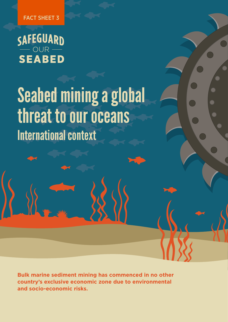FACT SHEET 3

SAFEGUARD<br>
SEABED

# International context Seabed mining a global threat to our oceans

**Bulk marine sediment mining has commenced in no other country's exclusive economic zone due to environmental and socio-economic risks.**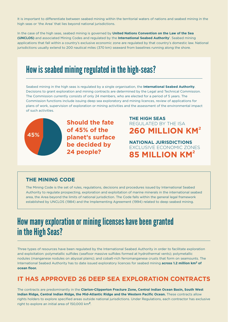It is important to differentiate between seabed mining within the territorial waters of nations and seabed mining in the high seas or 'the Area' that lies beyond national jurisdictions.

In the case of the high seas, seabed mining is governed by **United Nations Convention on the Law of the Sea (UNCLOS)** and associated Mining Codes and regulated by the **International Seabed Authority**<sup>1</sup> . Seabed mining applications that fall within a country's exclusive economic zone are regulated by that country's domestic law. National jurisdictions usually extend to 200 nautical miles (370 km) seaward from baselines running along the shore.

### How is seabed mining regulated in the high-seas?

Seabed mining in the high seas is regulated by a single organisation, the **International Seabed Authority**. Decisions to grant exploration and mining contracts are determined by the Legal and Technical Commission. The Commission currently consists of only 24 members, who are elected for a period of 5 years. The Commission functions include issuing deep sea exploratory and mining licences, review of applications for plans of work, supervision of exploration or mining activities and the assessment of the environmental impact of such activities.



**Should the fate of 45% of the planet's surface be decided by 24 people?** 

### **260 MILLION KM2 THE HIGH SEAS**  REGULATED BY THE ISA

**85 MILLION KM2 NATIONAL JURISDICTIONS**  EXCLUSIVE ECONOMIC ZONES

### **THE MINING CODE**

The Mining Code is the set of rules, regulations, decisions and procedures issued by International Seabed Authority to regulate prospecting, exploration and exploitation of marine minerals in the international seabed area, the Area beyond the limits of national jurisdiction. The Code falls within the general legal framework established by UNCLOS (1984) and the Implementing Agreement (1994) related to deep seabed mining.

## How many exploration or mining licenses have been granted in the High Seas?

Three types of resources have been regulated by the International Seabed Authority in order to facilitate exploration and exploitation: polymetallic sulfides (seafloor massive sulfides formed at hydrothermal vents); polymetallic nodules (manganese nodules on abyssal plains); and cobalt-rich ferromanganese crusts that form on seamounts. The International Seabed Authority has to date issued exploratory licences for seabed mining **across 1.2 million km2 of ocean floor.**

### **IT HAS APPROVED 26 DEEP SEA EXPLORATION CONTRACTS**

The contracts are predominantly in the **Clarion-Clipperton Fracture Zone, Central Indian Ocean Basin, South West Indian Ridge, Central Indian Ridge, the Mid-Atlantic Ridge and the Western Pacific Ocean.** These contracts allow rights holders to explore specified areas outside national jurisdictions. Under Regulations, each contractor has exclusive right to explore an initial area of 150,000 km**2**.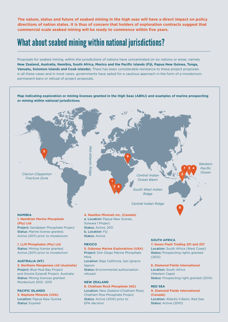**The nature, status and future of seabed mining in the high seas will have a direct impact on policy directions of nation states. It is thus of concern that holders of exploration contracts suggest that commercial scale seabed mining will be ready to commence within five years.**

# What about seabed mining within national jurisdictions?

Proposals for seabed mining, within the jurisdictions of nations have concentrated on six nations or areas, namely **New Zealand, Australia, Namibia, South Africa, Mexico and the Pacific Islands (Fiji, Papua New Guinea, Tonga, Vanuatu, Solomon Islands and Cook Islands).** There has been considerable resistance to these project proposals in all these cases and in most cases, governments have opted for a cautious approach in the form of a moratorium, permanent bans or refusal of project proposals.

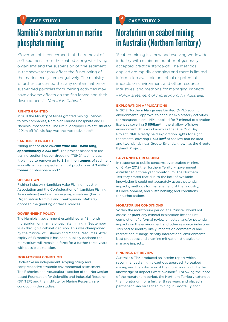### **CASE STUDY 1 1 2**

# Namibia's moratorium on marine phosphate mining

'Government is concerned that the removal of soft sediment from the seabed along with living organisms and the suspension of fine sediment in the seawater may affect the functioning of the marine ecosystem negatively. The ministry is further concerned that any contamination or suspended particles from mining activities may have adverse effects on the fish larvae and their development.' *- Namibian Cabinet.*

#### **RIGHTS GRANTED**

In 2011 the Ministry of Mines granted mining licences to two companies, Namibian Marine Phosphate and LL Namibia Phosphates. The NMP Sandpiper Project, situated 120km off Walvis Bay, was the most advanced<sup>2</sup>.

#### **SANDPIPER PROJECT**

Mining licence area **25.2km wide and 115km long,**  approximately 2 233 km<sup>2</sup>. The project planned to use trailing suction hopper dredging (TSHD) technology. It planned to remove up to **5.5 million tonnes** of sediment annually with an expected annual production of **3 million tonnes** of phosphate rock<sup>3</sup>.

#### **OPPOSITION**

Fishing industry (Namibian Hake Fishing Industry Association and the Confederation of Namibian Fishing Associations) and civil society organisations (Earth Organisation Namibia and Swakopmund Matters) opposed the granting of these licences.

#### **GOVERNMENT POLICY**

The Namibian government established an 18 month moratorium on marine phosphate mining in September 2013 through a cabinet decision. This was championed by the Minister of Fisheries and Marine Resources. After expiry of 18 months it has been publicly declared the moratorium will remain in force for a further three years with possible extension.

#### **MORATORIUM CONDITION**

Undertake an independent scoping study and comprehensive strategic environmental assessment. The Fisheries and Aquaculture section of the Norwegianbased Foundation for Scientific and Industrial Research (SINTEF) and the Institute for Marine Research are conducting the studies.

### **CASE STUDY 2**

# Moratorium on seabed mining in Australia (Northern Territory)

'Seabed mining is a new and evolving worldwide industry with minimum number of generally accepted practice standards. The methods applied are rapidly changing and there is limited information available on actual or potential impacts on environment and other resource industries; and methods for managing impacts'. *- Policy statement of moratorium, NT Australia.*

#### **EXPLORATION APPLICATIONS**

In 2012 Northern Manganese Limited (NML) sought environmental approval to conduct exploratory activities for manganese ore. NML applied for 7 mineral exploration licences covering **3 856km2** in the shallow offshore environment. This was known as the Blue Mud Bay Project. NML already held exploration rights for eight tenements, covering **1 723 km2** of shallow marine area and two islands near Groote Eylandt, known as the Groote Eylandt Project.

#### **GOVERNMENT RESPONSE**

In response to public concerns over seabed mining, on 6 May 2012 the Northern Territory government established a three year moratorium. The Northern Territory stated that due to the lack of available knowledge it could not accurately assess potential impacts; methods for management of the industry, its development, and sustainability; and conditions for authorisations.

#### **MORATORIUM CONDITIONS**

Within the moratorium period, the Minister would not assess or grant any mineral exploration licence until completion of a formal review on actual and/or potential impacts on the environment and other resource industries. This had to identify likely impacts on commercial and recreational fishing; identify international environmental best practices; and examine mitigation strategies to manage impacts.

#### **FINDINGS OF REVIEW**

Australia's EPA produced an interim report which recommended a highly cautious approach to seabed mining and the extension of the moratorium until better knowledge of impacts were available<sup>5</sup>. Following the lapse of the moratorium period, the Northern Territory extended the moratorium for a further three years and placed a permanent ban on seabed mining in Groote Eylandt.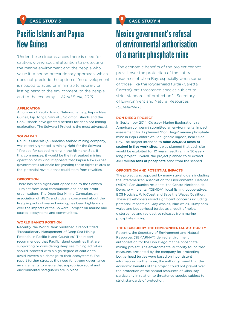# Pacific Islands and Papua New Guinea

'Under these circumstances there is need for caution, giving special attention to protecting the marine environment and the people who value it. A sound precautionary approach, which does not preclude the option of 'no development' is needed to avoid or minimize temporary or lasting harm to the environment, to the people and to the economy.' *- World Bank, 2016*

#### **APPLICATION**

A number of Pacific Island Nations, namely; Papua New Guinea, Fiji, Tonga, Vanuatu, Solomon Islands and the Cook Islands have granted permits for deep sea mining exploration. The Solwara 1 Project is the most advanced.

#### **SOLWARA 1**

Nautilus Minerals (a Canadian seabed mining company) was recently granted a mining right for the Solwara 1 Project, for seabed mining in the Bismarck Sea. If this commences, it would be the first seabed mining operation of its kind. It appears that Papua New Guinea government's rationale for granting these rights relates to the potential revenue that could stem from royalties.

#### **OPPOSITION**

There has been significant opposition to the Solwara 1 Project from local communities and not for profit organisations. The Deep Sea Mining Campaign, an association of NGOs and citizens concerned about the likely impacts of seabed mining, has been highly vocal over the impacts of the Solwara 1 project on marine and coastal ecosystems and communities.

#### **WORLD BANK'S POSITION**

Recently, the World Bank published a report titled 'Precautionary Management of Deep Sea Mining Potential in Pacific Island Countries'. The report recommended that Pacific Island countries that are supporting or considering deep sea mining activities should 'proceed with a high degree of caution to avoid irreversible damage to their ecosystems'. The report further stresses the need for strong governance arrangements to ensure that appropriate social and environmental safeguards are in place.

# Mexico government's refusal of environmental authorisation of a marine phosphate mine

'The economic benefits of the project cannot prevail over the protection of the natural resources of Ulloa Bay, especially when some of those, like the loggerhead turtle (Caretta Caretta), are threatened species subject to strict standards of protection.' - Secretary of Environment and Natural Resources *(SEMARNAT)*

#### **DON DIEGO PROJECT**

In September 2014, Odyssey Marine Explorations (an American company) submitted an environmental impact assessment for its planned 'Don Diego' marine phosphate mine in Baja California's San Ignacio lagoon, near Ulloa Bay. The project intended to **mine 225,000 acres of seabed in five work sites**. It was planned that each site would be exploited for 10 years, resulting in a 50-yearlong project. Overall, the project planned to to extract **350 million tons of phosphate** sand from the seabed.

#### **OPPOSITION AND POTENTIAL IMPACTS**

The project was opposed by many stakeholders including the Interamerican Association for Environmental Defense (AIDA), San Juanico residents, the Centro Mexicano de Derecho Ambiental (CEMDA), local fishing cooperatives, BCS Noticias, WildCoast and Save the Waves Coalition. These stakeholders raised significant concerns including potential impacts on Gray whales, Blue wales, Humpback wales and Loggerhead turtles as a result of noise, disturbance and radioactive releases from marine phosphate mining.

#### **THE DECISION BY THE ENVIRONMENTAL AUTHORITY**

Recently, the Secretary of Environment and Natural Resources (SEMARNAT) denied environment authorisation for the Don Diego marine phosphate mining project. The environmental authority found that measures presented by the company for protecting Loggerhead turtles were based on inconsistent information. Furthermore, the authority found that the economic benefits of the project could not prevail over the protection of the natural resources of Ulloa Bay, particularly in relation to threatened species subject to strict standards of protection.